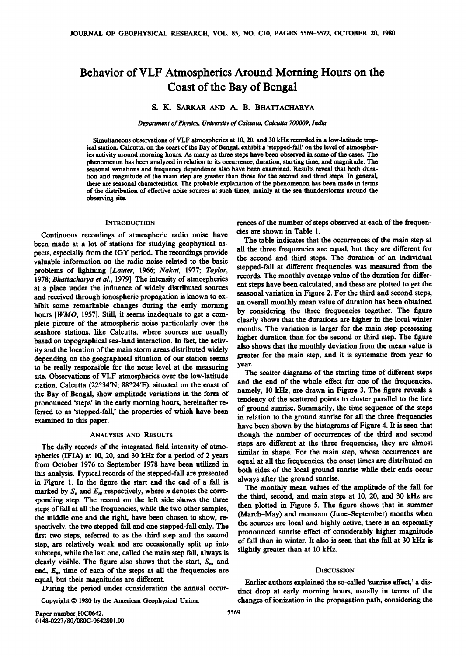# **Behavior of VLF Atmospherics Around Morning Hours on the Coast of the Bay of Bengal**

## **S. K. SARKAR AND A. B. BHATTACHARYA**

**Department of Physics, University of Calcutta, Calcutta 700009, India** 

**Simultaneous observations of VLF atmospherics at 10, 20, and 30 kHz recorded in a low-latitude tropical station, Calcutta, on the coast of the Bay of Bengal, exhibit a 'stepped-fall' on the level of atmospherics activity around morning hours. As many as three steps have been observed in some of the cases. The phenomenon has been analyzed in relation to its occurrence, duration, starting time, and magnitude. The seasonal variations and frequency dependence also have been examined. Results reveal that both duration and magnitude of the main step are greater than those for the second and third steps. In general, there are seasonal characteristics. The probable explanation of the phenomenon has been made in terms of the distribution of effective noise sources at such times, mainly at the sea thunderstorms around the observing site.** 

### **INTRODUCTION**

**Continuous recordings of atmospheric radio noise have been made at a lot of stations for studying geophysical aspects, especially from the IGY period. The recordings provide valuable information on the radio noise related to the basic problems of lightning [Lauter, 1966; Nakai, 1977; Taylor, 1978; Bhattacharya et al., 1979]. The intensity of atmospherics at a place under the influence of widely distributed sources and received through ionospheric propagation is known to exhibit some remarkable changes during the early morning hours [WMO, 1957]. Still, it seems inadequate to get a complete picture of the atmospheric noise particularly over the seashore stations, like Calcutta, where sources are usually based on topographical sea-land interaction. In fact, the activity and the location of the main storm areas distributed widely depending on the geographical situation of our station seems to be really responsible for the noise level at the measuring site. Observations of VLF atmospherics over the low-latitude**  station, Calcutta (22°34'N; 88°24'E), situated on the coast of **the Bay of Bengal, show amplitude variations in the form of pronounced 'steps' in the early morning hours, hereinafter referred to as 'stepped-fall,' the properties of which have been examined in this paper.** 

## **ANALYSES AND RESULTS**

**The daily records of the integrated field intensity of atmospherics (IFIA) at 10, 20, and 30 kHz for a period of 2 years from October 1976 to September 1978 have been utilized in this analysis. Typical records of the stepped-fall are presented in Figure 1. In the figure the start and the end of a fall is**  marked by  $S_n$  and  $E_n$ , respectively, where *n* denotes the corre**sponding step. The record on the left side shows the three steps of fall at all the frequencies, while the two other samples, the middle one and the right, have been chosen to show, respectively, the two stepped-fall and one stepped-fall only. The first two steps, referred to as the third step and the second step, are relatively weak and are occasionally split up into substeps, while the last one, called the main step fall, always is**  clearly visible. The figure also shows that the start,  $S_n$ , and **end, En, time of each of the steps at all the frequencies are equal, but their magnitudes are different.** 

**During the period under consideration the annual occur-**

Copyright © 1980 by the American Geophysical Union.

**rences of the number of steps observed at each of the frequencies are shown in Table 1.** 

**The table indicates that the occurrences of the main step at all the three frequencies are equal, but they are different for the second and third steps. The duration of an individual stepped-fall at different frequencies was measured from the records. The monthly average value of the duration for different steps have been calculated, and these are plotted to get the seasonal variation in Figure 2. For the third and second steps, an overall monthly mean value of duration has been obtained by considering the three frequencies together. The figure clearly shows that the durations are higher in the local winter months. The variation is larger for the main step possessing higher duration than for the second or third step. The figure also shows that the monthly deviation from the mean value is greater for the main step, and it is systematic from year to year.** 

**The scatter diagrams of the starting time of different steps and the end of the whole effect for one of the frequencies, namely, 10 kHz, are drawn in Figure 3. The figure reveals a tendency of the scattered points to cluster parallel to the line of ground sunrise. Summarily, the time sequence of the steps in relation to the ground sunrise for all the three frequencies have been shown by the histograms of Figure 4. It is seen that though the number of occurrences of the third and second steps are different at the three frequencies, they are almost similar in shape. For the main step, whose occurrences are equal at all the frequencies, the onset times are distributed on both sides of the local ground sunrise while their ends occur always after the ground sunrise.** 

**The monthly mean values of the amplitude of the fall for the third, second, and main steps at 10, 20, and 30 kHz are then plotted in Figure 5. The figure shows that in summer (March-May) and monsoon (June-September) months when the sources are local and highly active, there is an especially pronounced sunrise effect of considerably higher magnitude of fall than in winter. It also is seen that the fall at 30 kHz is**  slightly greater than at 10 kHz.

#### **DISCUSSION**

**Earlier authors explained the so-called 'sunrise effect,' a distinct drop at early morning hours, usually in terms of the changes of ionization in the propagation path, considering the**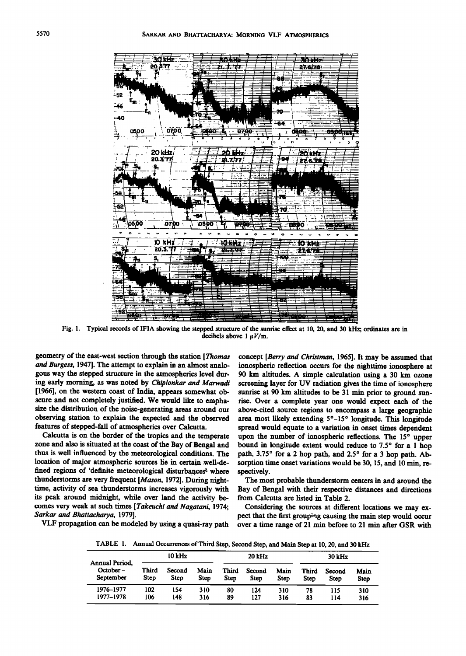

**Fig. 1. Typical records of IFIA showing the stepped structure of the sunrise effect at 10, 20, and 30 kHz; ordinates are in**  decibels above  $1 \mu V/m$ .

**geometry of the east-west section through the station [Thomas and Burgess, 1947]. The attempt to explain in an almost analogous way the stepped structure in the atmospherics level during early morning, as was noted by Chiplonkar and Marwadi [1966], on the western coast of India, appears somewhat obscure and not completely justified. We would like to emphasize the distribution of the noise-generating areas around our observing station to explain the expected and the observed features of stepped-fall of atmospherics over Calcutta.** 

**Calcutta is on the border of the tropics and the temperate zone and also is situated at the coast of the Bay of Bengal and thus is well influenced by the meteorological conditions. The location of major atmospheric sources lie in certain .well-de**fined regions of 'definite meteorological disturbances<sup>2</sup> where **thunderstorms are very frequent [Mason, 1972]. During nighttime, activity of sea thunderstorms increases vigorously with its peak around midnight, while over land the activity becomes very weak at such times [Takeuchi and Nagatani, 1974; \$arkar and Bhattacharya, 1979].** 

**VLF propagation can be modeled by using a quasi-ray path** 

**concept [Berry and Christman, 1965]. It may be assumed that ionospheric reflection occurs for the nighttime ionosphere at 90 km altitudes. A simple calculation using a 30 km ozone screening layer for UV radiation gives the time of ionosphere sunrise at 90 km altitudes to be 31 min prior to ground sunrise. Over a complete year one would expect each of the above-cited source regions to encompass a large geographic**  area most likely extending 5<sup>°</sup>-15<sup>°</sup> longitude. This longitude **spread would equate to a variation in onset times dependent**  upon the number of ionospheric reflections. The 15° upper bound in longitude extent would reduce to 7.5° for a 1 hop path, 3.75° for a 2 hop path, and 2.5° for a 3 hop path. Absorption time onset variations would be 30, 15, and 10 min, re**spectively.** 

**The most probable thunderstorm centers in and around the**  Bay of Bengal with their respective distances and directions **from Calcutta are listed in Table 2.** 

**Considering the sources at different locations we may expect that the first grouping causing the main step would occur**  over a time range of 21 min before to 21 min after GSR with

**TABLE 1. Annual Occurrences of Third Step, Second Step, and Main Step at 10, 20, and 30 kHz** 

| Annual Period,<br>October-<br>September | $10$ kHz             |                |              | 20 kHz               |                       |              | 30 kHz        |                |                     |
|-----------------------------------------|----------------------|----------------|--------------|----------------------|-----------------------|--------------|---------------|----------------|---------------------|
|                                         | <b>Third</b><br>Step | Second<br>Step | Main<br>Step | <b>Third</b><br>Step | Second<br><b>Step</b> | Main<br>Step | Third<br>Step | Second<br>Step | Main<br><b>Step</b> |
| 1976-1977<br>1977–1978                  | 102<br>106           | 154<br>148     | 310<br>316   | 80<br>89             | 124<br>127            | 310<br>316   | 78<br>83      | 115<br>114     | 310<br>316          |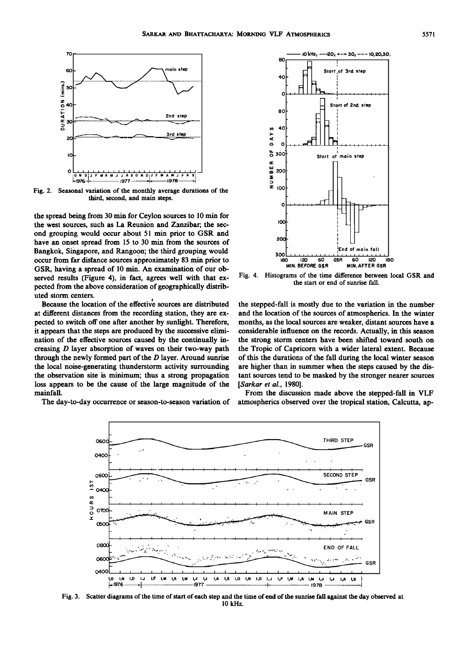

**Fig. 2. Seasonal variation of the monthly average durations of the third, second, and main steps.** 

**the spread being from 30 min for Ceylon sources to 10 min for the west sources, such as La Reunion and Zanzibar; the sec**ond grouping would occur about 51 min prior to GSR and have an onset spread from 15 to 30 min from the sources of **Bangkok, Singapore, and Rangoon; the third grouping would occur from far distance sources approximately 83 min prior to GSR, having a spread of 10 min. An examination of our observed results (Figure 4), in fact, agrees well with that expected from the above consideration of geographically distributed storm centers.** 

**Because the location of the effective sources are distributed at different distances from the recording station, they are expected to switch off one after another by sunlight. Therefore, it appears that the steps are produced by the successive elimination of the effective sources caused by the continually increasing D layer absorption of waves on their two-way path through the newly formed part of the D layer. Around sunrise the local noise-generating thunderstorm activity surrounding the observation site is minimum; thus a strong propagation loss appears to be the cause of the large magnitude of the mainfaU.** 

**The day-to-day occurrence or season-to-season variation of** 



**Fig. 4. Histograms of the time difference between local GSR and the start or end of sunrise fall.** 

**the stepped-fall is mostly due to the variation in the number and the location of the sources of atmospherics. In the winter months, as the local sources are weaker, distant sources have a considerable influence on the records. Actually, in this season the strong storm centers have been shifted toward south on the Tropic of Capricorn with a wider lateral extent. Because of this the durations of the fall during the local winter season are higher than in summer when the steps caused by the distant sources tend to be masked by the stronger nearer sources [Sarkar et al., 1980].** 

**From the discussion made above the stepped-fall in VLF atmospherics observed over the tropical station, Calcutta, ap-**



**Fig. 3. Scatter diagrams of the time of start of each step and the time of end of the sunrise fall against the day observed at 10 kHz.**